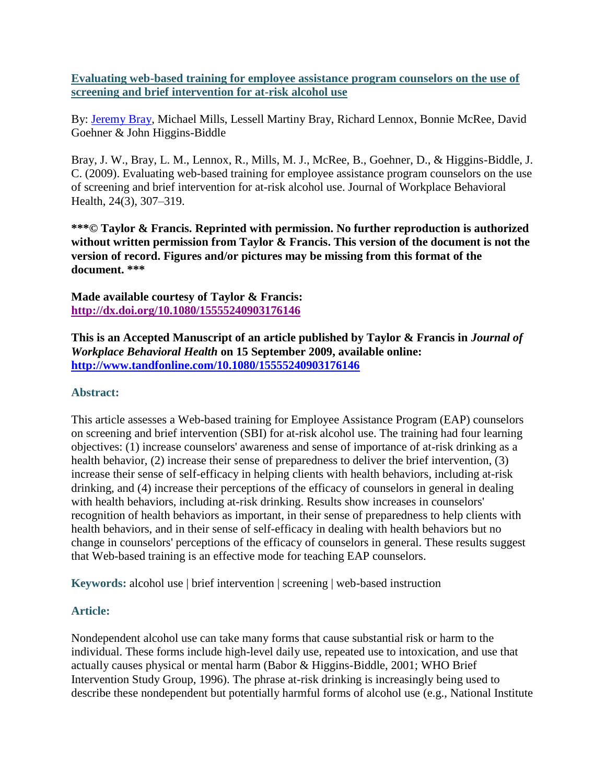**Evaluating web-based training for employee assistance program counselors on the use of screening and brief intervention for at-risk alcohol use**

By: [Jeremy Bray,](http://libres.uncg.edu/ir/uncg/clist.aspx?id=9220) Michael Mills, Lessell Martiny Bray, Richard Lennox, Bonnie McRee, David Goehner & John Higgins-Biddle

Bray, J. W., Bray, L. M., Lennox, R., Mills, M. J., McRee, B., Goehner, D., & Higgins-Biddle, J. C. (2009). Evaluating web-based training for employee assistance program counselors on the use of screening and brief intervention for at-risk alcohol use. Journal of Workplace Behavioral Health, 24(3), 307–319.

**\*\*\*© Taylor & Francis. Reprinted with permission. No further reproduction is authorized without written permission from Taylor & Francis. This version of the document is not the version of record. Figures and/or pictures may be missing from this format of the document. \*\*\***

**Made available courtesy of Taylor & Francis: <http://dx.doi.org/10.1080/15555240903176146>**

**This is an Accepted Manuscript of an article published by Taylor & Francis in** *Journal of Workplace Behavioral Health* **on 15 September 2009, available online: <http://www.tandfonline.com/10.1080/15555240903176146>**

#### **Abstract:**

This article assesses a Web-based training for Employee Assistance Program (EAP) counselors on screening and brief intervention (SBI) for at-risk alcohol use. The training had four learning objectives: (1) increase counselors' awareness and sense of importance of at-risk drinking as a health behavior, (2) increase their sense of preparedness to deliver the brief intervention, (3) increase their sense of self-efficacy in helping clients with health behaviors, including at-risk drinking, and (4) increase their perceptions of the efficacy of counselors in general in dealing with health behaviors, including at-risk drinking. Results show increases in counselors' recognition of health behaviors as important, in their sense of preparedness to help clients with health behaviors, and in their sense of self-efficacy in dealing with health behaviors but no change in counselors' perceptions of the efficacy of counselors in general. These results suggest that Web-based training is an effective mode for teaching EAP counselors.

**Keywords:** alcohol use | brief intervention | screening | web-based instruction

#### **Article:**

Nondependent alcohol use can take many forms that cause substantial risk or harm to the individual. These forms include high-level daily use, repeated use to intoxication, and use that actually causes physical or mental harm (Babor & Higgins-Biddle, 2001; WHO Brief Intervention Study Group, 1996). The phrase at-risk drinking is increasingly being used to describe these nondependent but potentially harmful forms of alcohol use (e.g., National Institute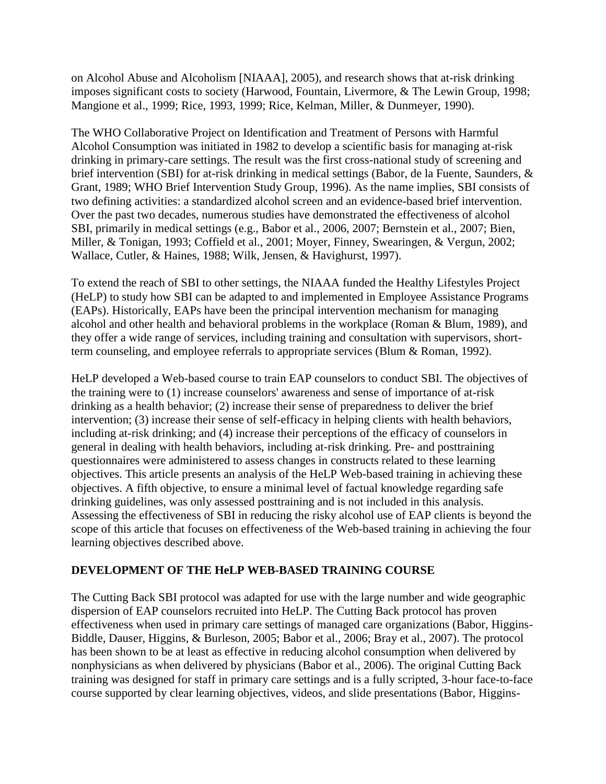on Alcohol Abuse and Alcoholism [NIAAA], 2005), and research shows that at-risk drinking imposes significant costs to society (Harwood, Fountain, Livermore, & The Lewin Group, 1998; Mangione et al., 1999; Rice, 1993, 1999; Rice, Kelman, Miller, & Dunmeyer, 1990).

The WHO Collaborative Project on Identification and Treatment of Persons with Harmful Alcohol Consumption was initiated in 1982 to develop a scientific basis for managing at-risk drinking in primary-care settings. The result was the first cross-national study of screening and brief intervention (SBI) for at-risk drinking in medical settings (Babor, de la Fuente, Saunders, & Grant, 1989; WHO Brief Intervention Study Group, 1996). As the name implies, SBI consists of two defining activities: a standardized alcohol screen and an evidence-based brief intervention. Over the past two decades, numerous studies have demonstrated the effectiveness of alcohol SBI, primarily in medical settings (e.g., Babor et al., 2006, 2007; Bernstein et al., 2007; Bien, Miller, & Tonigan, 1993; Coffield et al., 2001; Moyer, Finney, Swearingen, & Vergun, 2002; Wallace, Cutler, & Haines, 1988; Wilk, Jensen, & Havighurst, 1997).

To extend the reach of SBI to other settings, the NIAAA funded the Healthy Lifestyles Project (HeLP) to study how SBI can be adapted to and implemented in Employee Assistance Programs (EAPs). Historically, EAPs have been the principal intervention mechanism for managing alcohol and other health and behavioral problems in the workplace (Roman & Blum, 1989), and they offer a wide range of services, including training and consultation with supervisors, shortterm counseling, and employee referrals to appropriate services (Blum & Roman, 1992).

HeLP developed a Web-based course to train EAP counselors to conduct SBI. The objectives of the training were to (1) increase counselors' awareness and sense of importance of at-risk drinking as a health behavior; (2) increase their sense of preparedness to deliver the brief intervention; (3) increase their sense of self-efficacy in helping clients with health behaviors, including at-risk drinking; and (4) increase their perceptions of the efficacy of counselors in general in dealing with health behaviors, including at-risk drinking. Pre- and posttraining questionnaires were administered to assess changes in constructs related to these learning objectives. This article presents an analysis of the HeLP Web-based training in achieving these objectives. A fifth objective, to ensure a minimal level of factual knowledge regarding safe drinking guidelines, was only assessed posttraining and is not included in this analysis. Assessing the effectiveness of SBI in reducing the risky alcohol use of EAP clients is beyond the scope of this article that focuses on effectiveness of the Web-based training in achieving the four learning objectives described above.

## **DEVELOPMENT OF THE HeLP WEB-BASED TRAINING COURSE**

The Cutting Back SBI protocol was adapted for use with the large number and wide geographic dispersion of EAP counselors recruited into HeLP. The Cutting Back protocol has proven effectiveness when used in primary care settings of managed care organizations (Babor, Higgins-Biddle, Dauser, Higgins, & Burleson, 2005; Babor et al., 2006; Bray et al., 2007). The protocol has been shown to be at least as effective in reducing alcohol consumption when delivered by nonphysicians as when delivered by physicians (Babor et al., 2006). The original Cutting Back training was designed for staff in primary care settings and is a fully scripted, 3-hour face-to-face course supported by clear learning objectives, videos, and slide presentations (Babor, Higgins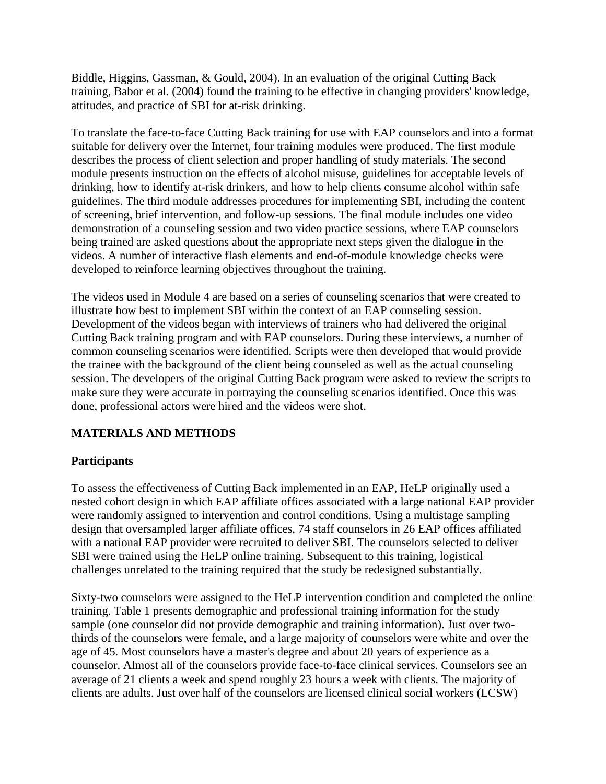Biddle, Higgins, Gassman, & Gould, 2004). In an evaluation of the original Cutting Back training, Babor et al. (2004) found the training to be effective in changing providers' knowledge, attitudes, and practice of SBI for at-risk drinking.

To translate the face-to-face Cutting Back training for use with EAP counselors and into a format suitable for delivery over the Internet, four training modules were produced. The first module describes the process of client selection and proper handling of study materials. The second module presents instruction on the effects of alcohol misuse, guidelines for acceptable levels of drinking, how to identify at-risk drinkers, and how to help clients consume alcohol within safe guidelines. The third module addresses procedures for implementing SBI, including the content of screening, brief intervention, and follow-up sessions. The final module includes one video demonstration of a counseling session and two video practice sessions, where EAP counselors being trained are asked questions about the appropriate next steps given the dialogue in the videos. A number of interactive flash elements and end-of-module knowledge checks were developed to reinforce learning objectives throughout the training.

The videos used in Module 4 are based on a series of counseling scenarios that were created to illustrate how best to implement SBI within the context of an EAP counseling session. Development of the videos began with interviews of trainers who had delivered the original Cutting Back training program and with EAP counselors. During these interviews, a number of common counseling scenarios were identified. Scripts were then developed that would provide the trainee with the background of the client being counseled as well as the actual counseling session. The developers of the original Cutting Back program were asked to review the scripts to make sure they were accurate in portraying the counseling scenarios identified. Once this was done, professional actors were hired and the videos were shot.

# **MATERIALS AND METHODS**

# **Participants**

To assess the effectiveness of Cutting Back implemented in an EAP, HeLP originally used a nested cohort design in which EAP affiliate offices associated with a large national EAP provider were randomly assigned to intervention and control conditions. Using a multistage sampling design that oversampled larger affiliate offices, 74 staff counselors in 26 EAP offices affiliated with a national EAP provider were recruited to deliver SBI. The counselors selected to deliver SBI were trained using the HeLP online training. Subsequent to this training, logistical challenges unrelated to the training required that the study be redesigned substantially.

Sixty-two counselors were assigned to the HeLP intervention condition and completed the online training. Table 1 presents demographic and professional training information for the study sample (one counselor did not provide demographic and training information). Just over twothirds of the counselors were female, and a large majority of counselors were white and over the age of 45. Most counselors have a master's degree and about 20 years of experience as a counselor. Almost all of the counselors provide face-to-face clinical services. Counselors see an average of 21 clients a week and spend roughly 23 hours a week with clients. The majority of clients are adults. Just over half of the counselors are licensed clinical social workers (LCSW)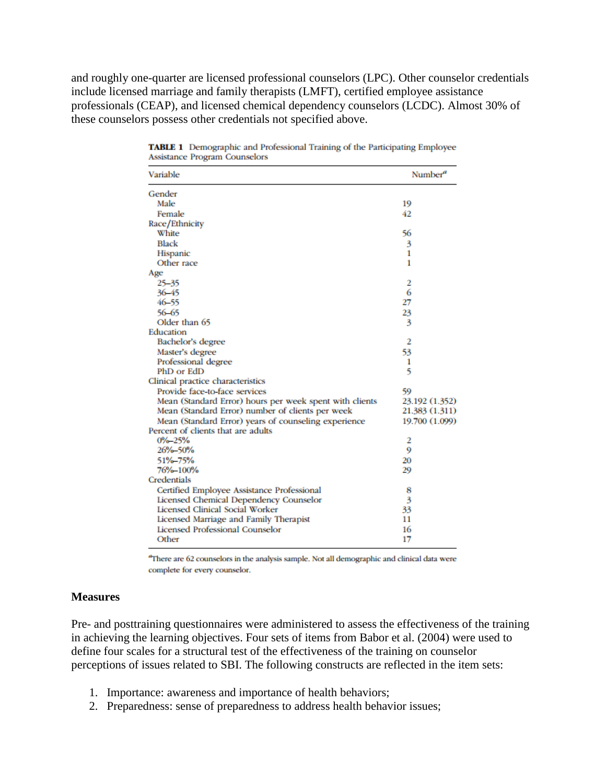and roughly one-quarter are licensed professional counselors (LPC). Other counselor credentials include licensed marriage and family therapists (LMFT), certified employee assistance professionals (CEAP), and licensed chemical dependency counselors (LCDC). Almost 30% of these counselors possess other credentials not specified above.

| Variable                                                | Number <sup>a</sup> |
|---------------------------------------------------------|---------------------|
| Gender                                                  |                     |
| Male                                                    | 19                  |
| Female                                                  | 42                  |
| Race/Ethnicity                                          |                     |
| White                                                   | 56                  |
| <b>Black</b>                                            | 3                   |
| Hispanic                                                | 1                   |
| Other race                                              | 1                   |
| Age                                                     |                     |
| $25 - 35$                                               | 2                   |
| $36 - 45$                                               | 6                   |
| $46 - 55$                                               | 27                  |
| 56–65                                                   | 23                  |
| Older than 65                                           | 3                   |
| Education                                               |                     |
| Bachelor's degree                                       | 2                   |
| Master's degree                                         | 53                  |
| Professional degree                                     | 1                   |
| PhD or EdD                                              | 5                   |
| Clinical practice characteristics                       |                     |
| Provide face-to-face services                           | 59                  |
| Mean (Standard Error) hours per week spent with clients | 23.192 (1.352)      |
| Mean (Standard Error) number of clients per week        | 21.383 (1.311)      |
| Mean (Standard Error) years of counseling experience    | 19.700 (1.099)      |
| Percent of clients that are adults                      |                     |
| $0\% - 25\%$                                            | 2                   |
| 26%-50%                                                 | 9                   |
| 51%-75%                                                 | 20                  |
| 76%-100%                                                | 29                  |
| Credentials                                             |                     |
| Certified Employee Assistance Professional              | 8                   |
| Licensed Chemical Dependency Counselor                  | 3                   |
| Licensed Clinical Social Worker                         | 33                  |
| Licensed Marriage and Family Therapist                  | 11                  |
| Licensed Professional Counselor                         | 16                  |
| Other                                                   | 17                  |

**TABLE 1** Demographic and Professional Training of the Participating Employee **Assistance Program Counselors** 

"There are 62 counselors in the analysis sample. Not all demographic and clinical data were complete for every counselor.

#### **Measures**

Pre- and posttraining questionnaires were administered to assess the effectiveness of the training in achieving the learning objectives. Four sets of items from Babor et al. (2004) were used to define four scales for a structural test of the effectiveness of the training on counselor perceptions of issues related to SBI. The following constructs are reflected in the item sets:

- 1. Importance: awareness and importance of health behaviors;
- 2. Preparedness: sense of preparedness to address health behavior issues;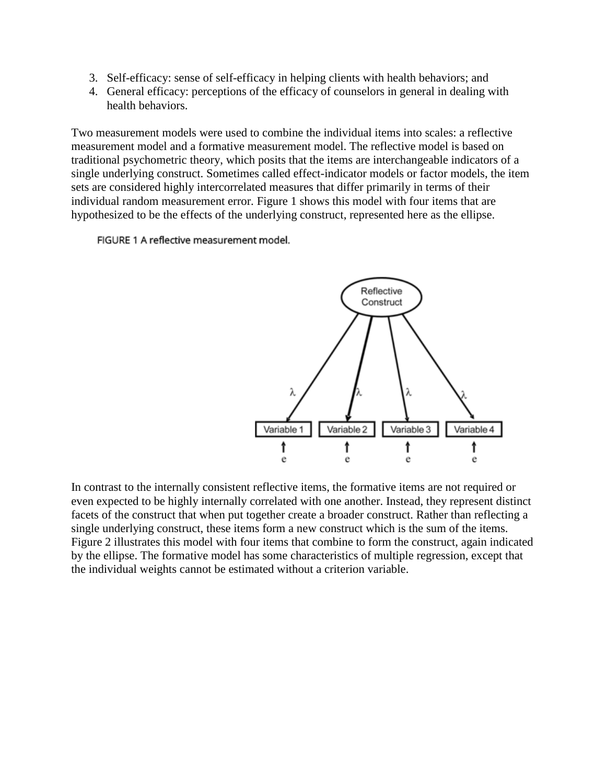- 3. Self-efficacy: sense of self-efficacy in helping clients with health behaviors; and
- 4. General efficacy: perceptions of the efficacy of counselors in general in dealing with health behaviors.

Two measurement models were used to combine the individual items into scales: a reflective measurement model and a formative measurement model. The reflective model is based on traditional psychometric theory, which posits that the items are interchangeable indicators of a single underlying construct. Sometimes called effect-indicator models or factor models, the item sets are considered highly intercorrelated measures that differ primarily in terms of their individual random measurement error. Figure 1 shows this model with four items that are hypothesized to be the effects of the underlying construct, represented here as the ellipse.

FIGURE 1 A reflective measurement model.



In contrast to the internally consistent reflective items, the formative items are not required or even expected to be highly internally correlated with one another. Instead, they represent distinct facets of the construct that when put together create a broader construct. Rather than reflecting a single underlying construct, these items form a new construct which is the sum of the items. Figure 2 illustrates this model with four items that combine to form the construct, again indicated by the ellipse. The formative model has some characteristics of multiple regression, except that the individual weights cannot be estimated without a criterion variable.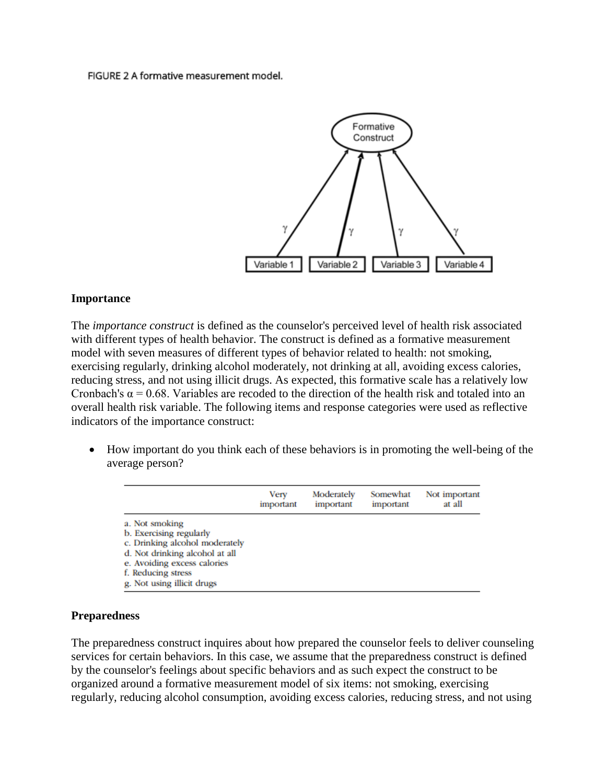FIGURE 2 A formative measurement model.



#### **Importance**

The *importance construct* is defined as the counselor's perceived level of health risk associated with different types of health behavior. The construct is defined as a formative measurement model with seven measures of different types of behavior related to health: not smoking, exercising regularly, drinking alcohol moderately, not drinking at all, avoiding excess calories, reducing stress, and not using illicit drugs. As expected, this formative scale has a relatively low Cronbach's  $\alpha$  = 0.68. Variables are recoded to the direction of the health risk and totaled into an overall health risk variable. The following items and response categories were used as reflective indicators of the importance construct:

 How important do you think each of these behaviors is in promoting the well-being of the average person?

|                                                                                                                                                                                                  | Very      | Moderately | Somewhat  | Not important |
|--------------------------------------------------------------------------------------------------------------------------------------------------------------------------------------------------|-----------|------------|-----------|---------------|
|                                                                                                                                                                                                  | important | important  | important | at all        |
| a. Not smoking<br>b. Exercising regularly<br>c. Drinking alcohol moderately<br>d. Not drinking alcohol at all<br>e. Avoiding excess calories<br>f. Reducing stress<br>g. Not using illicit drugs |           |            |           |               |

## **Preparedness**

The preparedness construct inquires about how prepared the counselor feels to deliver counseling services for certain behaviors. In this case, we assume that the preparedness construct is defined by the counselor's feelings about specific behaviors and as such expect the construct to be organized around a formative measurement model of six items: not smoking, exercising regularly, reducing alcohol consumption, avoiding excess calories, reducing stress, and not using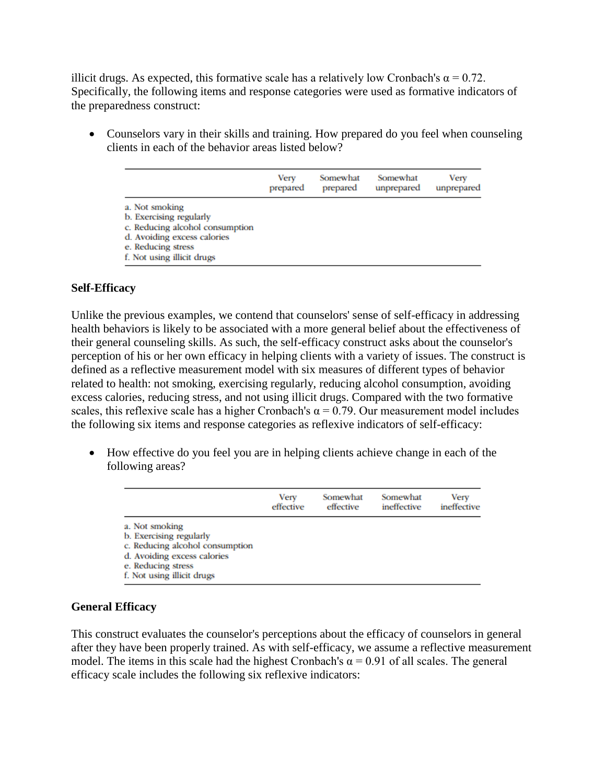illicit drugs. As expected, this formative scale has a relatively low Cronbach's  $\alpha = 0.72$ . Specifically, the following items and response categories were used as formative indicators of the preparedness construct:

• Counselors vary in their skills and training. How prepared do you feel when counseling clients in each of the behavior areas listed below?

|                                                                                                                                                                 | Verv     | Somewhat | Somewhat   | Very       |
|-----------------------------------------------------------------------------------------------------------------------------------------------------------------|----------|----------|------------|------------|
|                                                                                                                                                                 | prepared | prepared | unprepared | unprepared |
| a. Not smoking<br>b. Exercising regularly<br>c. Reducing alcohol consumption<br>d. Avoiding excess calories<br>e. Reducing stress<br>f. Not using illicit drugs |          |          |            |            |

### **Self-Efficacy**

Unlike the previous examples, we contend that counselors' sense of self-efficacy in addressing health behaviors is likely to be associated with a more general belief about the effectiveness of their general counseling skills. As such, the self-efficacy construct asks about the counselor's perception of his or her own efficacy in helping clients with a variety of issues. The construct is defined as a reflective measurement model with six measures of different types of behavior related to health: not smoking, exercising regularly, reducing alcohol consumption, avoiding excess calories, reducing stress, and not using illicit drugs. Compared with the two formative scales, this reflexive scale has a higher Cronbach's  $\alpha = 0.79$ . Our measurement model includes the following six items and response categories as reflexive indicators of self-efficacy:

 How effective do you feel you are in helping clients achieve change in each of the following areas?

|                                                                                                                                                                 | Verv      | Somewhat  | Somewhat    | Very        |
|-----------------------------------------------------------------------------------------------------------------------------------------------------------------|-----------|-----------|-------------|-------------|
|                                                                                                                                                                 | effective | effective | ineffective | ineffective |
| a. Not smoking<br>b. Exercising regularly<br>c. Reducing alcohol consumption<br>d. Avoiding excess calories<br>e. Reducing stress<br>f. Not using illicit drugs |           |           |             |             |

## **General Efficacy**

This construct evaluates the counselor's perceptions about the efficacy of counselors in general after they have been properly trained. As with self-efficacy, we assume a reflective measurement model. The items in this scale had the highest Cronbach's  $\alpha = 0.91$  of all scales. The general efficacy scale includes the following six reflexive indicators: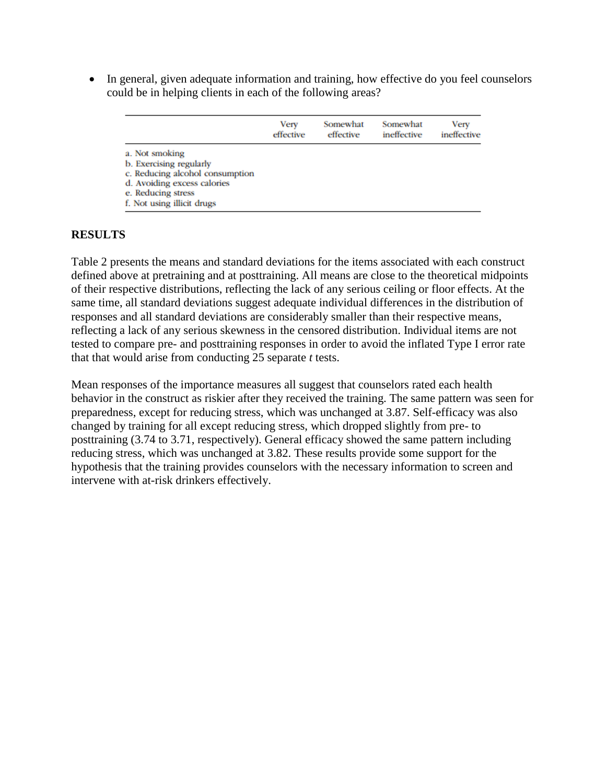• In general, given adequate information and training, how effective do you feel counselors could be in helping clients in each of the following areas?

|                                                                                                                                                                 | Verv      | Somewhat  | Somewhat    | Verv        |
|-----------------------------------------------------------------------------------------------------------------------------------------------------------------|-----------|-----------|-------------|-------------|
|                                                                                                                                                                 | effective | effective | ineffective | ineffective |
| a. Not smoking<br>b. Exercising regularly<br>c. Reducing alcohol consumption<br>d. Avoiding excess calories<br>e. Reducing stress<br>f. Not using illicit drugs |           |           |             |             |

## **RESULTS**

Table 2 presents the means and standard deviations for the items associated with each construct defined above at pretraining and at posttraining. All means are close to the theoretical midpoints of their respective distributions, reflecting the lack of any serious ceiling or floor effects. At the same time, all standard deviations suggest adequate individual differences in the distribution of responses and all standard deviations are considerably smaller than their respective means, reflecting a lack of any serious skewness in the censored distribution. Individual items are not tested to compare pre- and posttraining responses in order to avoid the inflated Type I error rate that that would arise from conducting 25 separate *t* tests.

Mean responses of the importance measures all suggest that counselors rated each health behavior in the construct as riskier after they received the training. The same pattern was seen for preparedness, except for reducing stress, which was unchanged at 3.87. Self-efficacy was also changed by training for all except reducing stress, which dropped slightly from pre- to posttraining (3.74 to 3.71, respectively). General efficacy showed the same pattern including reducing stress, which was unchanged at 3.82. These results provide some support for the hypothesis that the training provides counselors with the necessary information to screen and intervene with at-risk drinkers effectively.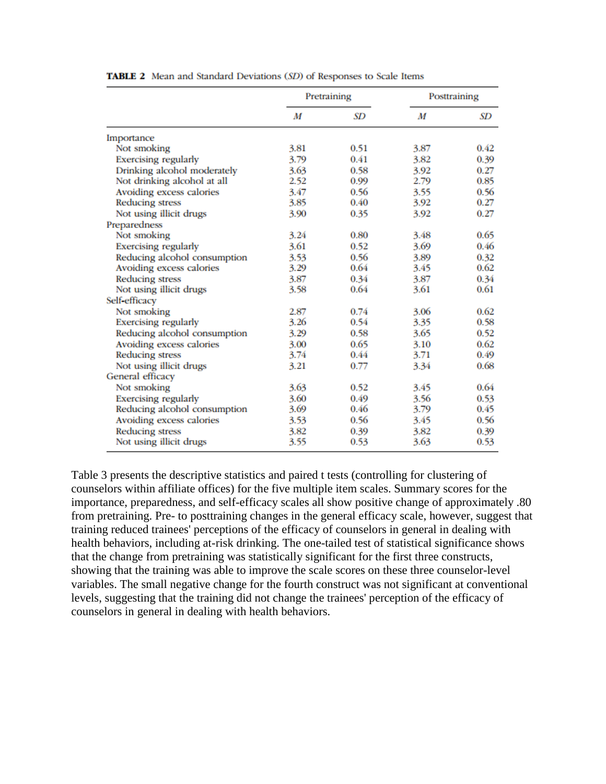|                              | Pretraining |      | Posttraining |      |
|------------------------------|-------------|------|--------------|------|
|                              | M           | SD   | M            | SD   |
| Importance                   |             |      |              |      |
| Not smoking                  | 3.81        | 0.51 | 3.87         | 0.42 |
| <b>Exercising regularly</b>  | 3.79        | 0.41 | 3.82         | 0.39 |
| Drinking alcohol moderately  | 3.63        | 0.58 | 3.92         | 0.27 |
| Not drinking alcohol at all  | 2.52        | 0.99 | 2.79         | 0.85 |
| Avoiding excess calories     | 3.47        | 0.56 | 3.55         | 0.56 |
| <b>Reducing stress</b>       | 3.85        | 0.40 | 3.92         | 0.27 |
| Not using illicit drugs      | 3.90        | 0.35 | 3.92         | 0.27 |
| Preparedness                 |             |      |              |      |
| Not smoking                  | 3.24        | 0.80 | 3.48         | 0.65 |
| <b>Exercising regularly</b>  | 3.61        | 0.52 | 3.69         | 0.46 |
| Reducing alcohol consumption | 3.53        | 0.56 | 3.89         | 0.32 |
| Avoiding excess calories     | 3.29        | 0.64 | 3.45         | 0.62 |
| <b>Reducing stress</b>       | 3.87        | 0.34 | 3.87         | 0.34 |
| Not using illicit drugs      | 3.58        | 0.64 | 3.61         | 0.61 |
| Self-efficacy                |             |      |              |      |
| Not smoking                  | 2.87        | 0.74 | 3.06         | 0.62 |
| <b>Exercising regularly</b>  | 3.26        | 0.54 | 3.35         | 0.58 |
| Reducing alcohol consumption | 3.29        | 0.58 | 3.65         | 0.52 |
| Avoiding excess calories     | 3.00        | 0.65 | 3.10         | 0.62 |
| Reducing stress              | 3.74        | 0.44 | 3.71         | 0.49 |
| Not using illicit drugs      | 3.21        | 0.77 | 3.34         | 0.68 |
| General efficacy             |             |      |              |      |
| Not smoking                  | 3.63        | 0.52 | 3.45         | 0.64 |
| <b>Exercising regularly</b>  | 3.60        | 0.49 | 3.56         | 0.53 |
| Reducing alcohol consumption | 3.69        | 0.46 | 3.79         | 0.45 |
| Avoiding excess calories     | 3.53        | 0.56 | 3.45         | 0.56 |
| <b>Reducing stress</b>       | 3.82        | 0.39 | 3.82         | 0.39 |
| Not using illicit drugs      | 3.55        | 0.53 | 3.63         | 0.53 |

**TABLE 2** Mean and Standard Deviations (SD) of Responses to Scale Items

Table 3 presents the descriptive statistics and paired t tests (controlling for clustering of counselors within affiliate offices) for the five multiple item scales. Summary scores for the importance, preparedness, and self-efficacy scales all show positive change of approximately .80 from pretraining. Pre- to posttraining changes in the general efficacy scale, however, suggest that training reduced trainees' perceptions of the efficacy of counselors in general in dealing with health behaviors, including at-risk drinking. The one-tailed test of statistical significance shows that the change from pretraining was statistically significant for the first three constructs, showing that the training was able to improve the scale scores on these three counselor-level variables. The small negative change for the fourth construct was not significant at conventional levels, suggesting that the training did not change the trainees' perception of the efficacy of counselors in general in dealing with health behaviors.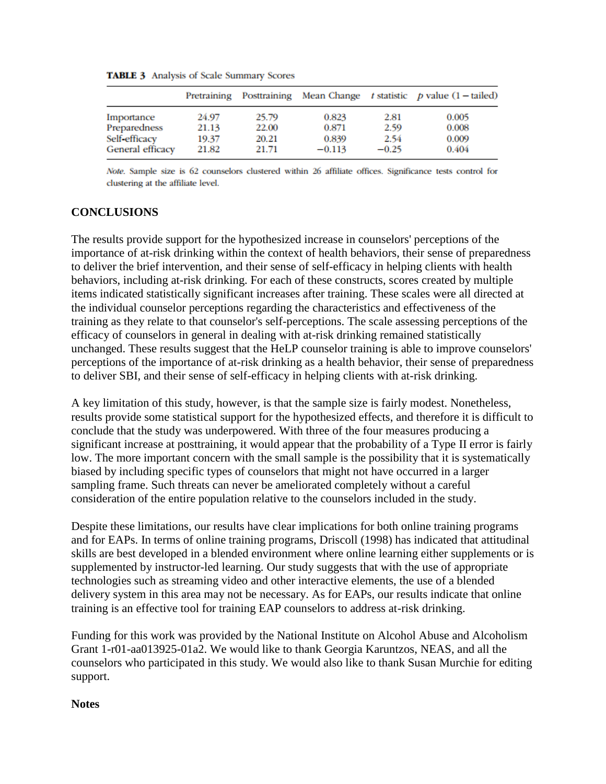|                  | Pretraining |       |          |         | Posttraining Mean Change $t$ statistic $p$ value $(1 - \text{tailed})$ |
|------------------|-------------|-------|----------|---------|------------------------------------------------------------------------|
| Importance       | 24.97       | 25.79 | 0.823    | 2.81    | 0.005                                                                  |
| Preparedness     | 21.13       | 22.00 | 0.871    | 2.59    | 0.008                                                                  |
| Self-efficacy    | 19.37       | 20.21 | 0.839    | 2.54    | 0.009                                                                  |
| General efficacy | 21.82       | 21.71 | $-0.113$ | $-0.25$ | 0.404                                                                  |

**TABLE 3** Analysis of Scale Summary Scores

Note. Sample size is 62 counselors clustered within 26 affiliate offices. Significance tests control for clustering at the affiliate level.

### **CONCLUSIONS**

The results provide support for the hypothesized increase in counselors' perceptions of the importance of at-risk drinking within the context of health behaviors, their sense of preparedness to deliver the brief intervention, and their sense of self-efficacy in helping clients with health behaviors, including at-risk drinking. For each of these constructs, scores created by multiple items indicated statistically significant increases after training. These scales were all directed at the individual counselor perceptions regarding the characteristics and effectiveness of the training as they relate to that counselor's self-perceptions. The scale assessing perceptions of the efficacy of counselors in general in dealing with at-risk drinking remained statistically unchanged. These results suggest that the HeLP counselor training is able to improve counselors' perceptions of the importance of at-risk drinking as a health behavior, their sense of preparedness to deliver SBI, and their sense of self-efficacy in helping clients with at-risk drinking.

A key limitation of this study, however, is that the sample size is fairly modest. Nonetheless, results provide some statistical support for the hypothesized effects, and therefore it is difficult to conclude that the study was underpowered. With three of the four measures producing a significant increase at posttraining, it would appear that the probability of a Type II error is fairly low. The more important concern with the small sample is the possibility that it is systematically biased by including specific types of counselors that might not have occurred in a larger sampling frame. Such threats can never be ameliorated completely without a careful consideration of the entire population relative to the counselors included in the study.

Despite these limitations, our results have clear implications for both online training programs and for EAPs. In terms of online training programs, Driscoll (1998) has indicated that attitudinal skills are best developed in a blended environment where online learning either supplements or is supplemented by instructor-led learning. Our study suggests that with the use of appropriate technologies such as streaming video and other interactive elements, the use of a blended delivery system in this area may not be necessary. As for EAPs, our results indicate that online training is an effective tool for training EAP counselors to address at-risk drinking.

Funding for this work was provided by the National Institute on Alcohol Abuse and Alcoholism Grant 1-r01-aa013925-01a2. We would like to thank Georgia Karuntzos, NEAS, and all the counselors who participated in this study. We would also like to thank Susan Murchie for editing support.

#### **Notes**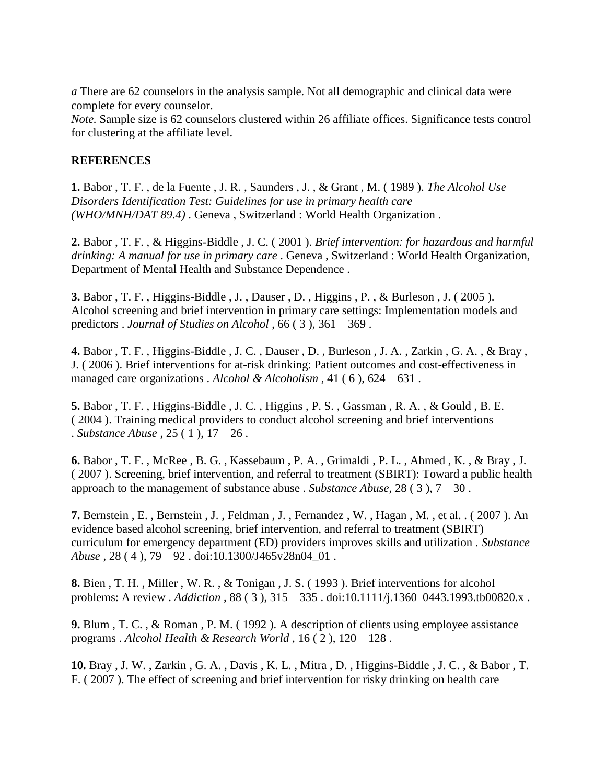*a* There are 62 counselors in the analysis sample. Not all demographic and clinical data were complete for every counselor.

*Note.* Sample size is 62 counselors clustered within 26 affiliate offices. Significance tests control for clustering at the affiliate level.

### **REFERENCES**

**1.** Babor , T. F. , de la Fuente , J. R. , Saunders , J. , & Grant , M. ( 1989 ). *The Alcohol Use Disorders Identification Test: Guidelines for use in primary health care (WHO/MNH/DAT 89.4)* . Geneva , Switzerland : World Health Organization .

**2.** Babor , T. F. , & Higgins-Biddle , J. C. ( 2001 ). *Brief intervention: for hazardous and harmful drinking: A manual for use in primary care* . Geneva , Switzerland : World Health Organization, Department of Mental Health and Substance Dependence .

**3.** Babor , T. F. , Higgins-Biddle , J. , Dauser , D. , Higgins , P. , & Burleson , J. ( 2005 ). Alcohol screening and brief intervention in primary care settings: Implementation models and predictors . *Journal of Studies on Alcohol* , 66 ( 3 ), 361 – 369 .

**4.** Babor , T. F. , Higgins-Biddle , J. C. , Dauser , D. , Burleson , J. A. , Zarkin , G. A. , & Bray , J. ( 2006 ). Brief interventions for at-risk drinking: Patient outcomes and cost-effectiveness in managed care organizations . *Alcohol & Alcoholism* , 41 ( 6 ), 624 – 631 .

**5.** Babor , T. F. , Higgins-Biddle , J. C. , Higgins , P. S. , Gassman , R. A. , & Gould , B. E. ( 2004 ). Training medical providers to conduct alcohol screening and brief interventions . *Substance Abuse* , 25 ( 1 ), 17 – 26 .

**6.** Babor , T. F. , McRee , B. G. , Kassebaum , P. A. , Grimaldi , P. L. , Ahmed , K. , & Bray , J. ( 2007 ). Screening, brief intervention, and referral to treatment (SBIRT): Toward a public health approach to the management of substance abuse . *Substance Abuse*, 28 ( 3 ), 7 – 30 .

**7.** Bernstein , E. , Bernstein , J. , Feldman , J. , Fernandez , W. , Hagan , M. , et al. . ( 2007 ). An evidence based alcohol screening, brief intervention, and referral to treatment (SBIRT) curriculum for emergency department (ED) providers improves skills and utilization . *Substance Abuse* , 28 ( 4 ), 79 – 92 . doi:10.1300/J465v28n04\_01 .

**8.** Bien , T. H. , Miller , W. R. , & Tonigan , J. S. ( 1993 ). Brief interventions for alcohol problems: A review . *Addiction* , 88 ( 3 ), 315 – 335 . doi:10.1111/j.1360–0443.1993.tb00820.x .

**9.** Blum , T. C. , & Roman , P. M. ( 1992 ). A description of clients using employee assistance programs . *Alcohol Health & Research World* , 16 ( 2 ), 120 – 128 .

**10.** Bray , J. W. , Zarkin , G. A. , Davis , K. L. , Mitra , D. , Higgins-Biddle , J. C. , & Babor , T. F. ( 2007 ). The effect of screening and brief intervention for risky drinking on health care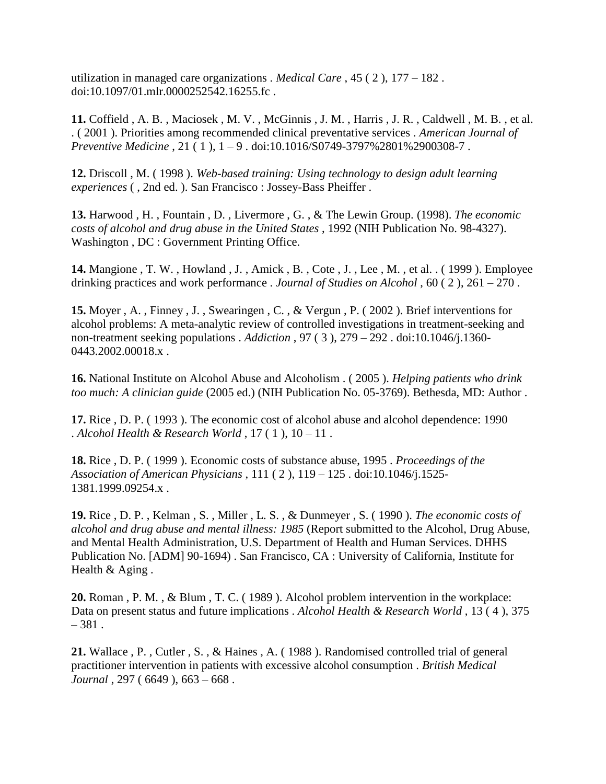utilization in managed care organizations . *Medical Care* , 45 ( 2 ), 177 – 182 . doi:10.1097/01.mlr.0000252542.16255.fc .

**11.** Coffield , A. B. , Maciosek , M. V. , McGinnis , J. M. , Harris , J. R. , Caldwell , M. B. , et al. . ( 2001 ). Priorities among recommended clinical preventative services . *American Journal of Preventive Medicine* , 21 ( 1 ), 1 – 9 . doi:10.1016/S0749-3797%2801%2900308-7 .

**12.** Driscoll , M. ( 1998 ). *Web-based training: Using technology to design adult learning experiences* ( , 2nd ed. ). San Francisco : Jossey-Bass Pheiffer .

**13.** Harwood , H. , Fountain , D. , Livermore , G. , & The Lewin Group. (1998). *The economic costs of alcohol and drug abuse in the United States* , 1992 (NIH Publication No. 98-4327). Washington , DC : Government Printing Office.

**14.** Mangione , T. W. , Howland , J. , Amick , B. , Cote , J. , Lee , M. , et al. . ( 1999 ). Employee drinking practices and work performance . *Journal of Studies on Alcohol* , 60 ( 2 ), 261 – 270 .

**15.** Moyer , A. , Finney , J. , Swearingen , C. , & Vergun , P. ( 2002 ). Brief interventions for alcohol problems: A meta-analytic review of controlled investigations in treatment-seeking and non-treatment seeking populations . *Addiction* , 97 ( 3 ), 279 – 292 . doi:10.1046/j.1360- 0443.2002.00018.x.

**16.** National Institute on Alcohol Abuse and Alcoholism . ( 2005 ). *Helping patients who drink too much: A clinician guide* (2005 ed.) (NIH Publication No. 05-3769). Bethesda, MD: Author .

**17.** Rice , D. P. ( 1993 ). The economic cost of alcohol abuse and alcohol dependence: 1990 . *Alcohol Health & Research World* , 17 ( 1 ), 10 – 11 .

**18.** Rice , D. P. ( 1999 ). Economic costs of substance abuse, 1995 . *Proceedings of the Association of American Physicians* , 111 ( 2 ), 119 – 125 . doi:10.1046/j.1525- 1381.1999.09254.x .

**19.** Rice , D. P. , Kelman , S. , Miller , L. S. , & Dunmeyer , S. ( 1990 ). *The economic costs of alcohol and drug abuse and mental illness: 1985* (Report submitted to the Alcohol, Drug Abuse, and Mental Health Administration, U.S. Department of Health and Human Services. DHHS Publication No. [ADM] 90-1694) . San Francisco, CA : University of California, Institute for Health & Aging.

**20.** Roman , P. M. , & Blum , T. C. ( 1989 ). Alcohol problem intervention in the workplace: Data on present status and future implications . *Alcohol Health & Research World* , 13 ( 4 ), 375  $-381$ .

**21.** Wallace , P. , Cutler , S. , & Haines , A. ( 1988 ). Randomised controlled trial of general practitioner intervention in patients with excessive alcohol consumption . *British Medical Journal* , 297 ( 6649 ), 663 – 668 .